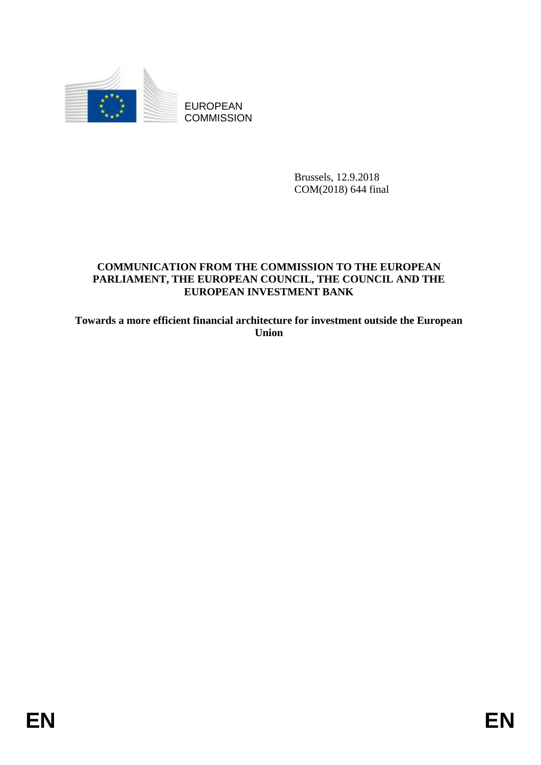

EUROPEAN **COMMISSION** 

> Brussels, 12.9.2018 COM(2018) 644 final

# **COMMUNICATION FROM THE COMMISSION TO THE EUROPEAN PARLIAMENT, THE EUROPEAN COUNCIL, THE COUNCIL AND THE EUROPEAN INVESTMENT BANK**

**Towards a more efficient financial architecture for investment outside the European Union**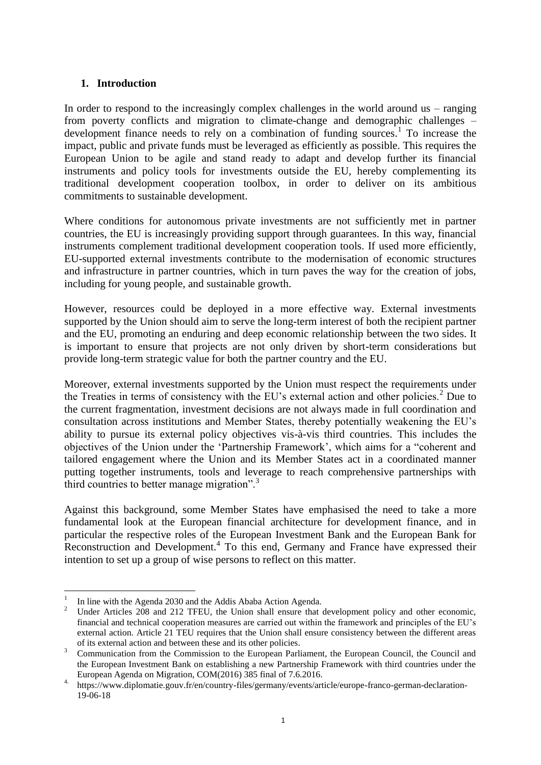### **1. Introduction**

In order to respond to the increasingly complex challenges in the world around us – ranging from poverty conflicts and migration to climate-change and demographic challenges – development finance needs to rely on a combination of funding sources.<sup>1</sup> To increase the impact, public and private funds must be leveraged as efficiently as possible. This requires the European Union to be agile and stand ready to adapt and develop further its financial instruments and policy tools for investments outside the EU, hereby complementing its traditional development cooperation toolbox, in order to deliver on its ambitious commitments to sustainable development.

Where conditions for autonomous private investments are not sufficiently met in partner countries, the EU is increasingly providing support through guarantees. In this way, financial instruments complement traditional development cooperation tools. If used more efficiently, EU-supported external investments contribute to the modernisation of economic structures and infrastructure in partner countries, which in turn paves the way for the creation of jobs, including for young people, and sustainable growth.

However, resources could be deployed in a more effective way. External investments supported by the Union should aim to serve the long-term interest of both the recipient partner and the EU, promoting an enduring and deep economic relationship between the two sides. It is important to ensure that projects are not only driven by short-term considerations but provide long-term strategic value for both the partner country and the EU.

Moreover, external investments supported by the Union must respect the requirements under the Treaties in terms of consistency with the EU's external action and other policies.<sup>2</sup> Due to the current fragmentation, investment decisions are not always made in full coordination and consultation across institutions and Member States, thereby potentially weakening the EU's ability to pursue its external policy objectives vis-à-vis third countries. This includes the objectives of the Union under the 'Partnership Framework', which aims for a "coherent and tailored engagement where the Union and its Member States act in a coordinated manner putting together instruments, tools and leverage to reach comprehensive partnerships with third countries to better manage migration".<sup>3</sup>

Against this background, some Member States have emphasised the need to take a more fundamental look at the European financial architecture for development finance, and in particular the respective roles of the European Investment Bank and the European Bank for Reconstruction and Development.<sup>4</sup> To this end, Germany and France have expressed their intention to set up a group of wise persons to reflect on this matter.

1

<sup>1</sup> In line with the Agenda 2030 and the Addis Ababa Action Agenda.

Under Articles 208 and 212 TFEU, the Union shall ensure that development policy and other economic, financial and technical cooperation measures are carried out within the framework and principles of the EU's external action. Article 21 TEU requires that the Union shall ensure consistency between the different areas of its external action and between these and its other policies.

<sup>3</sup> Communication from the Commission to the European Parliament, the European Council, the Council and the European Investment Bank on establishing a new Partnership Framework with third countries under the European Agenda on Migration, COM(2016) 385 final of 7.6.2016.

<sup>4.</sup> [https://www.diplomatie.gouv.fr/en/country-files/germany/events/article/europe-franco-german-declaration-](https://www.diplomatie.gouv.fr/en/country-files/germany/events/article/europe-franco-german-declaration-19-06-18)[19-06-18](https://www.diplomatie.gouv.fr/en/country-files/germany/events/article/europe-franco-german-declaration-19-06-18)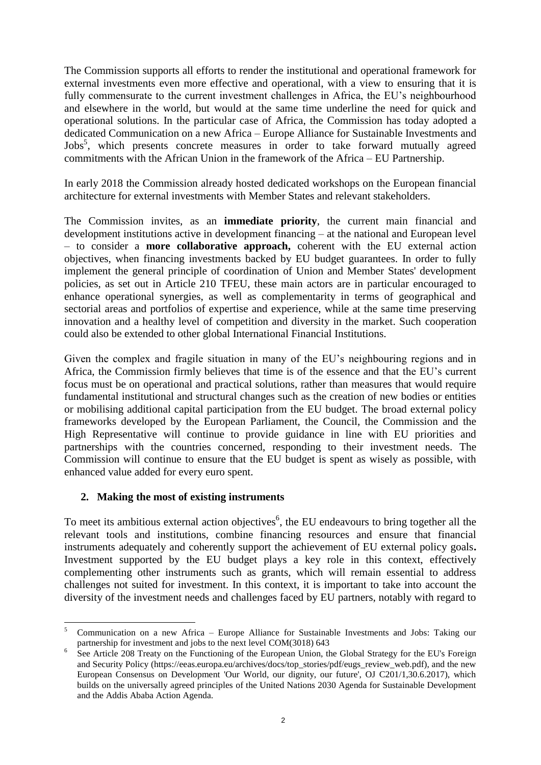The Commission supports all efforts to render the institutional and operational framework for external investments even more effective and operational, with a view to ensuring that it is fully commensurate to the current investment challenges in Africa, the EU's neighbourhood and elsewhere in the world, but would at the same time underline the need for quick and operational solutions. In the particular case of Africa, the Commission has today adopted a dedicated Communication on a new Africa – Europe Alliance for Sustainable Investments and Jobs<sup>5</sup>, which presents concrete measures in order to take forward mutually agreed commitments with the African Union in the framework of the Africa – EU Partnership.

In early 2018 the Commission already hosted dedicated workshops on the European financial architecture for external investments with Member States and relevant stakeholders.

The Commission invites, as an **immediate priority**, the current main financial and development institutions active in development financing – at the national and European level – to consider a **more collaborative approach,** coherent with the EU external action objectives, when financing investments backed by EU budget guarantees. In order to fully implement the general principle of coordination of Union and Member States' development policies, as set out in Article 210 TFEU, these main actors are in particular encouraged to enhance operational synergies, as well as complementarity in terms of geographical and sectorial areas and portfolios of expertise and experience, while at the same time preserving innovation and a healthy level of competition and diversity in the market. Such cooperation could also be extended to other global International Financial Institutions.

Given the complex and fragile situation in many of the EU's neighbouring regions and in Africa, the Commission firmly believes that time is of the essence and that the EU's current focus must be on operational and practical solutions, rather than measures that would require fundamental institutional and structural changes such as the creation of new bodies or entities or mobilising additional capital participation from the EU budget. The broad external policy frameworks developed by the European Parliament, the Council, the Commission and the High Representative will continue to provide guidance in line with EU priorities and partnerships with the countries concerned, responding to their investment needs. The Commission will continue to ensure that the EU budget is spent as wisely as possible, with enhanced value added for every euro spent.

# **2. Making the most of existing instruments**

To meet its ambitious external action objectives<sup>6</sup>, the EU endeavours to bring together all the relevant tools and institutions, combine financing resources and ensure that financial instruments adequately and coherently support the achievement of EU external policy goals**.**  Investment supported by the EU budget plays a key role in this context, effectively complementing other instruments such as grants, which will remain essential to address challenges not suited for investment. In this context, it is important to take into account the diversity of the investment needs and challenges faced by EU partners, notably with regard to

<sup>1</sup> <sup>5</sup> Communication on a new Africa – Europe Alliance for Sustainable Investments and Jobs: Taking our partnership for investment and jobs to the next level COM(3018) 643

<sup>6</sup> See Article 208 Treaty on the Functioning of the European Union, the Global Strategy for the EU's Foreign and Security Policy (https://eeas.europa.eu/archives/docs/top\_stories/pdf/eugs\_review\_web.pdf), and the new European Consensus on Development 'Our World, our dignity, our future', OJ C201/1,30.6.2017), which builds on the universally agreed principles of the United Nations 2030 Agenda for Sustainable Development and the Addis Ababa Action Agenda.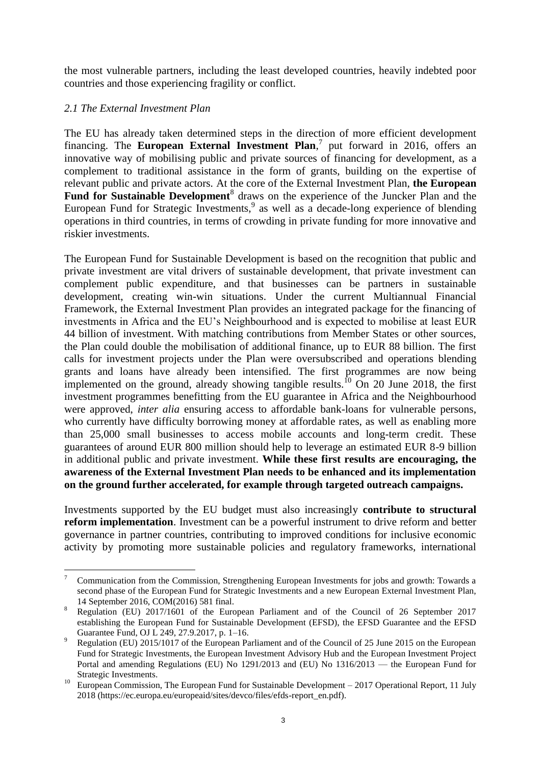the most vulnerable partners, including the least developed countries, heavily indebted poor countries and those experiencing fragility or conflict.

### *2.1 The External Investment Plan*

1

The EU has already taken determined steps in the direction of more efficient development financing. The **European External Investment Plan**, 7 put forward in 2016, offers an innovative way of mobilising public and private sources of financing for development, as a complement to traditional assistance in the form of grants, building on the expertise of relevant public and private actors. At the core of the External Investment Plan, **the European**  Fund for Sustainable Development<sup>8</sup> draws on the experience of the Juncker Plan and the European Fund for Strategic Investments,<sup>9</sup> as well as a decade-long experience of blending operations in third countries, in terms of crowding in private funding for more innovative and riskier investments.

The European Fund for Sustainable Development is based on the recognition that public and private investment are vital drivers of sustainable development, that private investment can complement public expenditure, and that businesses can be partners in sustainable development, creating win-win situations. Under the current Multiannual Financial Framework, the External Investment Plan provides an integrated package for the financing of investments in Africa and the EU's Neighbourhood and is expected to mobilise at least EUR 44 billion of investment. With matching contributions from Member States or other sources, the Plan could double the mobilisation of additional finance, up to EUR 88 billion. The first calls for investment projects under the Plan were oversubscribed and operations blending grants and loans have already been intensified. The first programmes are now being implemented on the ground, already showing tangible results.<sup>10</sup> On 20 June 2018, the first investment programmes benefitting from the EU guarantee in Africa and the Neighbourhood were approved, *inter alia* ensuring access to affordable bank-loans for vulnerable persons, who currently have difficulty borrowing money at affordable rates, as well as enabling more than 25,000 small businesses to access mobile accounts and long-term credit. These guarantees of around EUR 800 million should help to leverage an estimated EUR 8-9 billion in additional public and private investment. **While these first results are encouraging, the awareness of the External Investment Plan needs to be enhanced and its implementation on the ground further accelerated, for example through targeted outreach campaigns.** 

Investments supported by the EU budget must also increasingly **contribute to structural reform implementation**. Investment can be a powerful instrument to drive reform and better governance in partner countries, contributing to improved conditions for inclusive economic activity by promoting more sustainable policies and regulatory frameworks, international

<sup>7</sup> Communication from the Commission, Strengthening European Investments for jobs and growth: Towards a second phase of the European Fund for Strategic Investments and a new European External Investment Plan, 14 September 2016, COM(2016) 581 final.

<sup>8</sup> Regulation (EU) 2017/1601 of the European Parliament and of the Council of 26 September 2017 establishing the European Fund for Sustainable Development (EFSD), the EFSD Guarantee and the EFSD Guarantee Fund, OJ L 249, 27.9.2017, p. 1–16.

<sup>9</sup> Regulation (EU) 2015/1017 of the European Parliament and of the Council of 25 June 2015 on the European Fund for Strategic Investments, the European Investment Advisory Hub and the European Investment Project Portal and amending Regulations (EU) No 1291/2013 and (EU) No 1316/2013 — the European Fund for Strategic Investments.

<sup>&</sup>lt;sup>10</sup> European Commission, The European Fund for Sustainable Development – 2017 Operational Report, 11 July 2018 (https://ec.europa.eu/europeaid/sites/devco/files/efds-report\_en.pdf).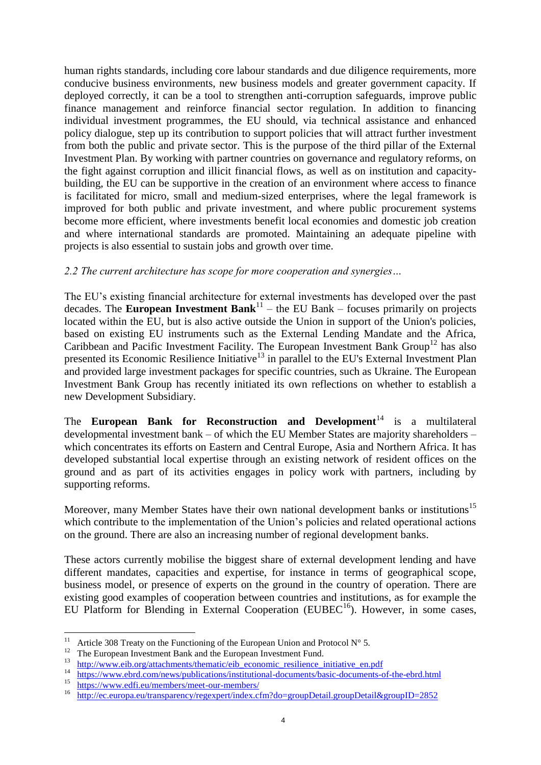human rights standards, including core labour standards and due diligence requirements, more conducive business environments, new business models and greater government capacity. If deployed correctly, it can be a tool to strengthen anti-corruption safeguards, improve public finance management and reinforce financial sector regulation. In addition to financing individual investment programmes, the EU should, via technical assistance and enhanced policy dialogue, step up its contribution to support policies that will attract further investment from both the public and private sector. This is the purpose of the third pillar of the External Investment Plan. By working with partner countries on governance and regulatory reforms, on the fight against corruption and illicit financial flows, as well as on institution and capacitybuilding, the EU can be supportive in the creation of an environment where access to finance is facilitated for micro, small and medium-sized enterprises, where the legal framework is improved for both public and private investment, and where public procurement systems become more efficient, where investments benefit local economies and domestic job creation and where international standards are promoted. Maintaining an adequate pipeline with projects is also essential to sustain jobs and growth over time.

### *2.2 The current architecture has scope for more cooperation and synergies…*

The EU's existing financial architecture for external investments has developed over the past decades. The **European Investment Bank**<sup>11</sup> – the EU Bank – focuses primarily on projects located within the EU, but is also active outside the Union in support of the Union's policies, based on existing EU instruments such as the External Lending Mandate and the Africa, Caribbean and Pacific Investment Facility. The European Investment Bank Group<sup>12</sup> has also presented its Economic Resilience Initiative<sup>13</sup> in parallel to the EU's External Investment Plan and provided large investment packages for specific countries, such as Ukraine. The European Investment Bank Group has recently initiated its own reflections on whether to establish a new Development Subsidiary.

The **European Bank for Reconstruction and Development**<sup>14</sup> is a multilateral developmental investment bank – of which the EU Member States are majority shareholders – which concentrates its efforts on Eastern and Central Europe, Asia and Northern Africa. It has developed substantial local expertise through an existing network of resident offices on the ground and as part of its activities engages in policy work with partners, including by supporting reforms.

Moreover, many Member States have their own national development banks or institutions<sup>15</sup> which contribute to the implementation of the Union's policies and related operational actions on the ground. There are also an increasing number of regional development banks.

These actors currently mobilise the biggest share of external development lending and have different mandates, capacities and expertise, for instance in terms of geographical scope, business model, or presence of experts on the ground in the country of operation. There are existing good examples of cooperation between countries and institutions, as for example the EU Platform for Blending in External Cooperation ( $EUBEC<sup>16</sup>$ ). However, in some cases,

 $\frac{15}{16}$  <https://www.edfi.eu/members/meet-our-members/>

 $11$ Article 308 Treaty on the Functioning of the European Union and Protocol  $N^{\circ}$  5.

 $\frac{12}{13}$  The European Investment Bank and the European Investment Fund.

 $\frac{13}{14}$  [http://www.eib.org/attachments/thematic/eib\\_economic\\_resilience\\_initiative\\_en.pdf](http://www.eib.org/attachments/thematic/eib_economic_resilience_initiative_en.pdf)

<sup>&</sup>lt;sup>14</sup> <https://www.ebrd.com/news/publications/institutional-documents/basic-documents-of-the-ebrd.html><br><sup>15</sup> https://www.ebrd.com/news/publications/institutional-documents/basic-documents-of-the-ebrd.html

<http://ec.europa.eu/transparency/regexpert/index.cfm?do=groupDetail.groupDetail&groupID=2852>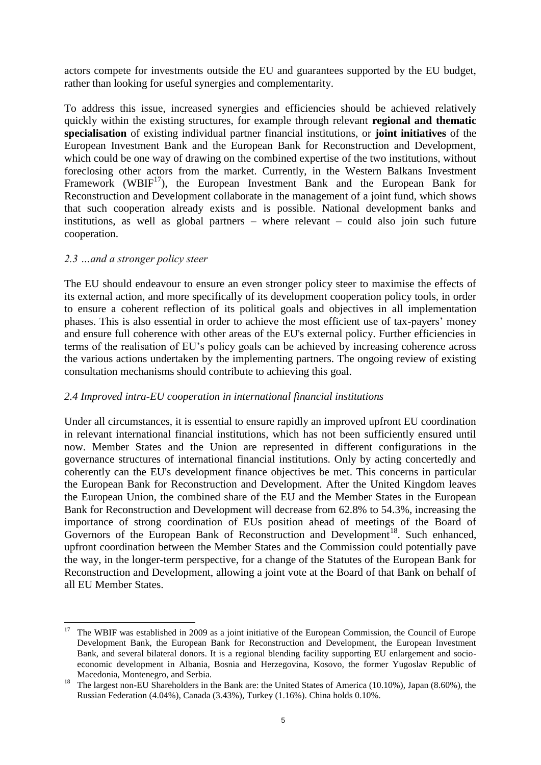actors compete for investments outside the EU and guarantees supported by the EU budget, rather than looking for useful synergies and complementarity.

To address this issue, increased synergies and efficiencies should be achieved relatively quickly within the existing structures, for example through relevant **regional and thematic specialisation** of existing individual partner financial institutions, or **joint initiatives** of the European Investment Bank and the European Bank for Reconstruction and Development, which could be one way of drawing on the combined expertise of the two institutions, without foreclosing other actors from the market. Currently, in the Western Balkans Investment Framework (WBIF $^{17}$ ), the European Investment Bank and the European Bank for Reconstruction and Development collaborate in the management of a joint fund, which shows that such cooperation already exists and is possible. National development banks and institutions, as well as global partners – where relevant – could also join such future cooperation.

#### *2.3 …and a stronger policy steer*

1

The EU should endeavour to ensure an even stronger policy steer to maximise the effects of its external action, and more specifically of its development cooperation policy tools, in order to ensure a coherent reflection of its political goals and objectives in all implementation phases. This is also essential in order to achieve the most efficient use of tax-payers' money and ensure full coherence with other areas of the EU's external policy. Further efficiencies in terms of the realisation of EU's policy goals can be achieved by increasing coherence across the various actions undertaken by the implementing partners. The ongoing review of existing consultation mechanisms should contribute to achieving this goal.

#### *2.4 Improved intra-EU cooperation in international financial institutions*

Under all circumstances, it is essential to ensure rapidly an improved upfront EU coordination in relevant international financial institutions, which has not been sufficiently ensured until now. Member States and the Union are represented in different configurations in the governance structures of international financial institutions. Only by acting concertedly and coherently can the EU's development finance objectives be met. This concerns in particular the European Bank for Reconstruction and Development. After the United Kingdom leaves the European Union, the combined share of the EU and the Member States in the European Bank for Reconstruction and Development will decrease from 62.8% to 54.3%, increasing the importance of strong coordination of EUs position ahead of meetings of the Board of Governors of the European Bank of Reconstruction and Development<sup>18</sup>. Such enhanced, upfront coordination between the Member States and the Commission could potentially pave the way, in the longer-term perspective, for a change of the Statutes of the European Bank for Reconstruction and Development, allowing a joint vote at the Board of that Bank on behalf of all EU Member States.

<sup>17</sup> The WBIF was established in 2009 as a joint initiative of the European Commission, the Council of Europe Development Bank, the European Bank for Reconstruction and Development, the European Investment Bank, and [several bilateral donors.](https://wbif.eu/about-the-wbif) It is a regional blending facility supporting EU enlargement and socioeconomic development in Albania, Bosnia and Herzegovina, Kosovo, the former Yugoslav Republic of Macedonia, Montenegro, and Serbia.

<sup>&</sup>lt;sup>18</sup> The largest non-EU Shareholders in the Bank are: the United States of America (10.10%), Japan (8.60%), the Russian Federation (4.04%), Canada (3.43%), Turkey (1.16%). China holds 0.10%.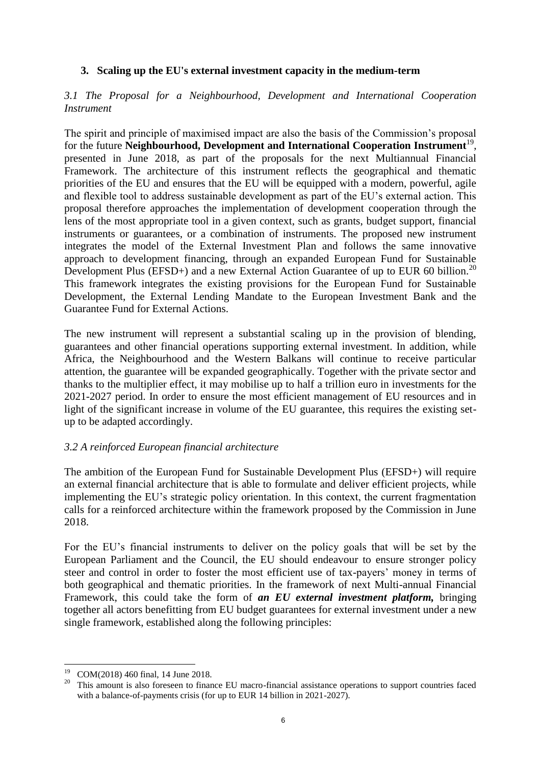# **3. Scaling up the EU's external investment capacity in the medium-term**

### *3.1 The Proposal for a Neighbourhood, Development and International Cooperation Instrument*

The spirit and principle of maximised impact are also the basis of the Commission's proposal for the future **Neighbourhood, Development and International Cooperation Instrument**<sup>19</sup>, presented in June 2018, as part of the proposals for the next Multiannual Financial Framework. The architecture of this instrument reflects the geographical and thematic priorities of the EU and ensures that the EU will be equipped with a modern, powerful, agile and flexible tool to address sustainable development as part of the EU's external action. This proposal therefore approaches the implementation of development cooperation through the lens of the most appropriate tool in a given context, such as grants, budget support, financial instruments or guarantees, or a combination of instruments. The proposed new instrument integrates the model of the External Investment Plan and follows the same innovative approach to development financing, through an expanded European Fund for Sustainable Development Plus (EFSD+) and a new External Action Guarantee of up to EUR 60 billion.<sup>20</sup> This framework integrates the existing provisions for the European Fund for Sustainable Development, the External Lending Mandate to the European Investment Bank and the Guarantee Fund for External Actions.

The new instrument will represent a substantial scaling up in the provision of blending, guarantees and other financial operations supporting external investment. In addition, while Africa, the Neighbourhood and the Western Balkans will continue to receive particular attention, the guarantee will be expanded geographically. Together with the private sector and thanks to the multiplier effect, it may mobilise up to half a trillion euro in investments for the 2021-2027 period. In order to ensure the most efficient management of EU resources and in light of the significant increase in volume of the EU guarantee, this requires the existing setup to be adapted accordingly.

# *3.2 A reinforced European financial architecture*

The ambition of the European Fund for Sustainable Development Plus (EFSD+) will require an external financial architecture that is able to formulate and deliver efficient projects, while implementing the EU's strategic policy orientation. In this context, the current fragmentation calls for a reinforced architecture within the framework proposed by the Commission in June 2018.

For the EU's financial instruments to deliver on the policy goals that will be set by the European Parliament and the Council, the EU should endeavour to ensure stronger policy steer and control in order to foster the most efficient use of tax-payers' money in terms of both geographical and thematic priorities. In the framework of next Multi-annual Financial Framework, this could take the form of *an EU external investment platform,* bringing together all actors benefitting from EU budget guarantees for external investment under a new single framework, established along the following principles:

1

<sup>&</sup>lt;sup>19</sup> COM(2018) 460 final, 14 June 2018.

<sup>&</sup>lt;sup>20</sup> This amount is also foreseen to finance EU macro-financial assistance operations to support countries faced with a balance-of-payments crisis (for up to EUR 14 billion in 2021-2027).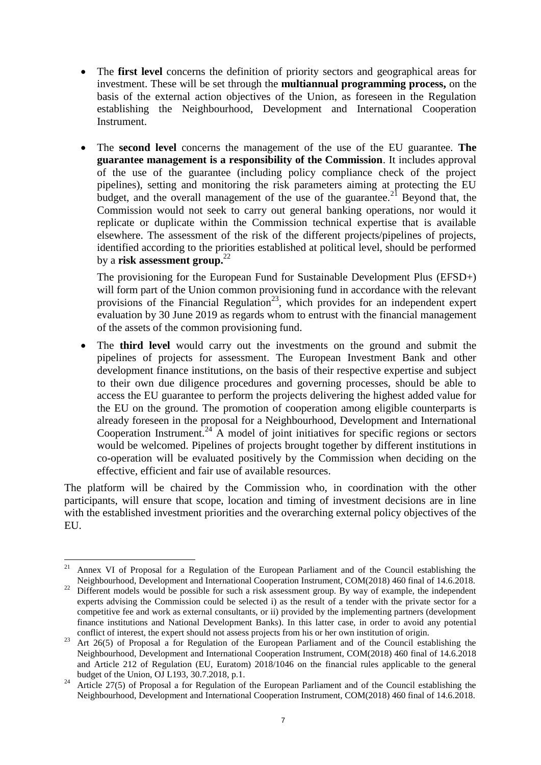- The **first level** concerns the definition of priority sectors and geographical areas for investment. These will be set through the **multiannual programming process,** on the basis of the external action objectives of the Union, as foreseen in the Regulation establishing the Neighbourhood, Development and International Cooperation Instrument.
- The **second level** concerns the management of the use of the EU guarantee. **The guarantee management is a responsibility of the Commission**. It includes approval of the use of the guarantee (including policy compliance check of the project pipelines), setting and monitoring the risk parameters aiming at protecting the EU budget, and the overall management of the use of the guarantee.<sup>21</sup> Beyond that, the Commission would not seek to carry out general banking operations, nor would it replicate or duplicate within the Commission technical expertise that is available elsewhere. The assessment of the risk of the different projects/pipelines of projects, identified according to the priorities established at political level, should be performed by a **risk assessment group.**<sup>22</sup>

The provisioning for the European Fund for Sustainable Development Plus (EFSD+) will form part of the Union common provisioning fund in accordance with the relevant provisions of the Financial Regulation<sup>23</sup>, which provides for an independent expert evaluation by 30 June 2019 as regards whom to entrust with the financial management of the assets of the common provisioning fund.

 The **third level** would carry out the investments on the ground and submit the pipelines of projects for assessment. The European Investment Bank and other development finance institutions, on the basis of their respective expertise and subject to their own due diligence procedures and governing processes, should be able to access the EU guarantee to perform the projects delivering the highest added value for the EU on the ground. The promotion of cooperation among eligible counterparts is already foreseen in the proposal for a Neighbourhood, Development and International Cooperation Instrument.<sup>24</sup> A model of joint initiatives for specific regions or sectors would be welcomed. Pipelines of projects brought together by different institutions in co-operation will be evaluated positively by the Commission when deciding on the effective, efficient and fair use of available resources.

The platform will be chaired by the Commission who, in coordination with the other participants, will ensure that scope, location and timing of investment decisions are in line with the established investment priorities and the overarching external policy objectives of the EU.

<sup>1</sup> <sup>21</sup> Annex VI of Proposal for a Regulation of the European Parliament and of the Council establishing the Neighbourhood, Development and International Cooperation Instrument, COM(2018) 460 final of 14.6.2018.

<sup>&</sup>lt;sup>22</sup> Different models would be possible for such a risk assessment group. By way of example, the independent experts advising the Commission could be selected i) as the result of a tender with the private sector for a competitive fee and work as external consultants, or ii) provided by the implementing partners (development finance institutions and National Development Banks). In this latter case, in order to avoid any potential conflict of interest, the expert should not assess projects from his or her own institution of origin.

<sup>&</sup>lt;sup>23</sup> Art 26(5) of Proposal a for Regulation of the European Parliament and of the Council establishing the Neighbourhood, Development and International Cooperation Instrument, COM(2018) 460 final of 14.6.2018 and Article 212 of Regulation (EU, Euratom) 2018/1046 on the financial rules applicable to the general budget of the Union, OJ L193, 30.7.2018, p.1.

<sup>&</sup>lt;sup>24</sup> Article 27(5) of Proposal a for Regulation of the European Parliament and of the Council establishing the Neighbourhood, Development and International Cooperation Instrument, COM(2018) 460 final of 14.6.2018.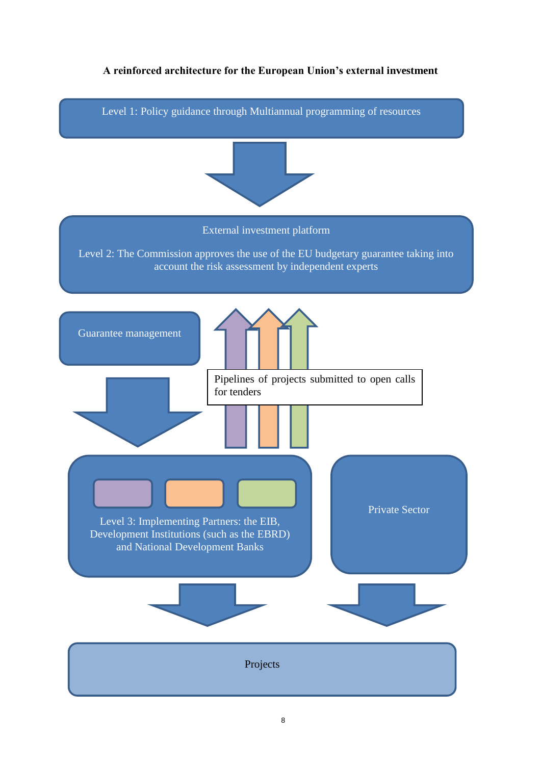# **A reinforced architecture for the European Union's external investment**